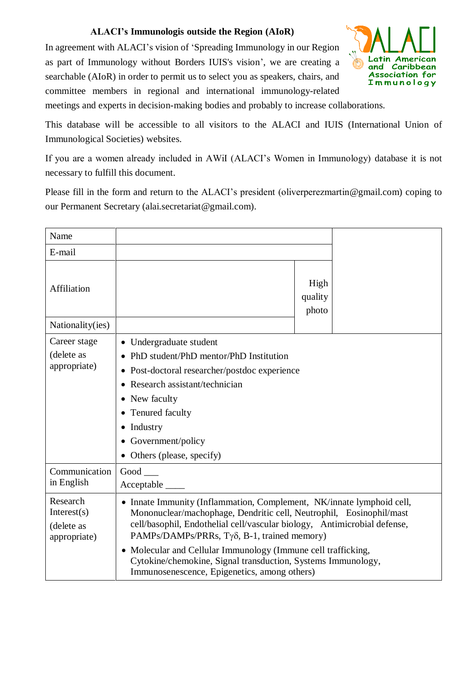## **ALACI's Immunologis outside the Region (AIoR)**

In agreement with ALACI's vision of 'Spreading Immunology in our Region as part of Immunology without Borders IUIS's vision', we are creating a searchable (AIoR) in order to permit us to select you as speakers, chairs, and committee members in regional and international immunology-related



meetings and experts in decision-making bodies and probably to increase collaborations.

This database will be accessible to all visitors to the ALACI and IUIS (International Union of Immunological Societies) websites.

If you are a women already included in AWiI (ALACI's Women in Immunology) database it is not necessary to fulfill this document.

Please fill in the form and return to the ALACI's president (oliverperezmartin@gmail.com) coping to our Permanent Secretary (alai.secretariat@gmail.com).

| Name                                                     |                                                                                                                                                                                                                                                                                                                                                                                                                                                          |                          |  |
|----------------------------------------------------------|----------------------------------------------------------------------------------------------------------------------------------------------------------------------------------------------------------------------------------------------------------------------------------------------------------------------------------------------------------------------------------------------------------------------------------------------------------|--------------------------|--|
| E-mail                                                   |                                                                                                                                                                                                                                                                                                                                                                                                                                                          |                          |  |
| Affiliation                                              |                                                                                                                                                                                                                                                                                                                                                                                                                                                          | High<br>quality<br>photo |  |
| Nationality(ies)                                         |                                                                                                                                                                                                                                                                                                                                                                                                                                                          |                          |  |
| Career stage<br>(delete as<br>appropriate)               | • Undergraduate student<br>PhD student/PhD mentor/PhD Institution<br>• Post-doctoral researcher/postdoc experience<br>Research assistant/technician<br>• New faculty<br>Tenured faculty<br>Industry<br>Government/policy<br>Others (please, specify)                                                                                                                                                                                                     |                          |  |
| Communication<br>in English                              | $Good$ <sub>___</sub><br>Acceptable                                                                                                                                                                                                                                                                                                                                                                                                                      |                          |  |
| Research<br>Interest $(s)$<br>(delete as<br>appropriate) | • Innate Immunity (Inflammation, Complement, NK/innate lymphoid cell,<br>Mononuclear/machophage, Dendritic cell, Neutrophil, Eosinophil/mast<br>cell/basophil, Endothelial cell/vascular biology, Antimicrobial defense,<br>PAMPs/DAMPs/PRRs, Τγδ, B-1, trained memory)<br>• Molecular and Cellular Immunology (Immune cell trafficking,<br>Cytokine/chemokine, Signal transduction, Systems Immunology,<br>Immunosenescence, Epigenetics, among others) |                          |  |